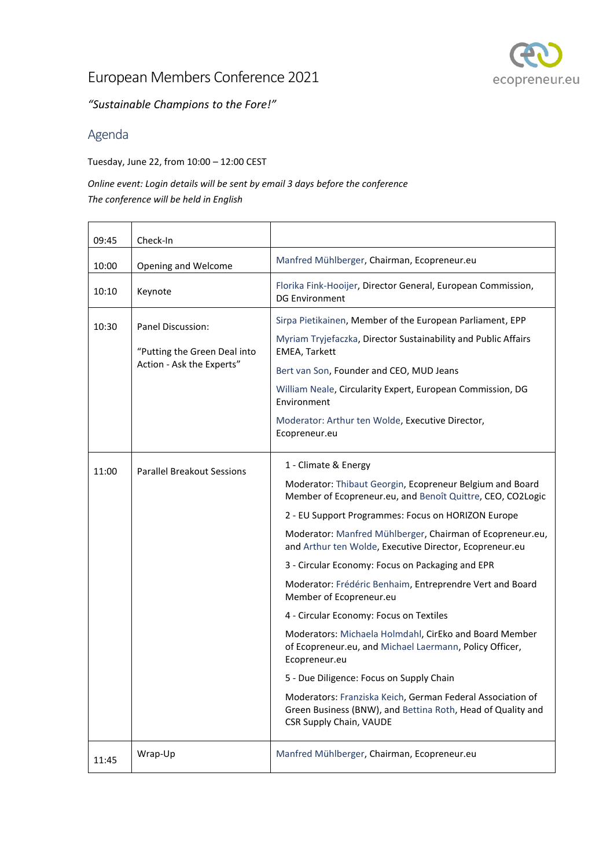

*"Sustainable Champions to the Fore!"*

### Agenda

Tuesday, June 22, from 10:00 – 12:00 CEST

*Online event: Login details will be sent by email 3 days before the conference The conference will be held in English* 

| 09:45 | Check-In                                                                              |                                                                                                                                                      |
|-------|---------------------------------------------------------------------------------------|------------------------------------------------------------------------------------------------------------------------------------------------------|
| 10:00 | Opening and Welcome                                                                   | Manfred Mühlberger, Chairman, Ecopreneur.eu                                                                                                          |
| 10:10 | Keynote                                                                               | Florika Fink-Hooijer, Director General, European Commission,<br><b>DG Environment</b>                                                                |
| 10:30 | <b>Panel Discussion:</b><br>"Putting the Green Deal into<br>Action - Ask the Experts" | Sirpa Pietikainen, Member of the European Parliament, EPP                                                                                            |
|       |                                                                                       | Myriam Tryjefaczka, Director Sustainability and Public Affairs<br><b>EMEA, Tarkett</b>                                                               |
|       |                                                                                       | Bert van Son, Founder and CEO, MUD Jeans                                                                                                             |
|       |                                                                                       | William Neale, Circularity Expert, European Commission, DG<br>Environment                                                                            |
|       |                                                                                       | Moderator: Arthur ten Wolde, Executive Director,<br>Ecopreneur.eu                                                                                    |
| 11:00 | <b>Parallel Breakout Sessions</b>                                                     | 1 - Climate & Energy                                                                                                                                 |
|       |                                                                                       | Moderator: Thibaut Georgin, Ecopreneur Belgium and Board<br>Member of Ecopreneur.eu, and Benoît Quittre, CEO, CO2Logic                               |
|       |                                                                                       | 2 - EU Support Programmes: Focus on HORIZON Europe                                                                                                   |
|       |                                                                                       | Moderator: Manfred Mühlberger, Chairman of Ecopreneur.eu,<br>and Arthur ten Wolde, Executive Director, Ecopreneur.eu                                 |
|       |                                                                                       | 3 - Circular Economy: Focus on Packaging and EPR                                                                                                     |
|       |                                                                                       | Moderator: Frédéric Benhaim, Entreprendre Vert and Board<br>Member of Ecopreneur.eu                                                                  |
|       |                                                                                       | 4 - Circular Economy: Focus on Textiles                                                                                                              |
|       |                                                                                       | Moderators: Michaela Holmdahl, CirEko and Board Member<br>of Ecopreneur.eu, and Michael Laermann, Policy Officer,<br>Ecopreneur.eu                   |
|       |                                                                                       | 5 - Due Diligence: Focus on Supply Chain                                                                                                             |
|       |                                                                                       | Moderators: Franziska Keich, German Federal Association of<br>Green Business (BNW), and Bettina Roth, Head of Quality and<br>CSR Supply Chain, VAUDE |
| 11:45 | Wrap-Up                                                                               | Manfred Mühlberger, Chairman, Ecopreneur.eu                                                                                                          |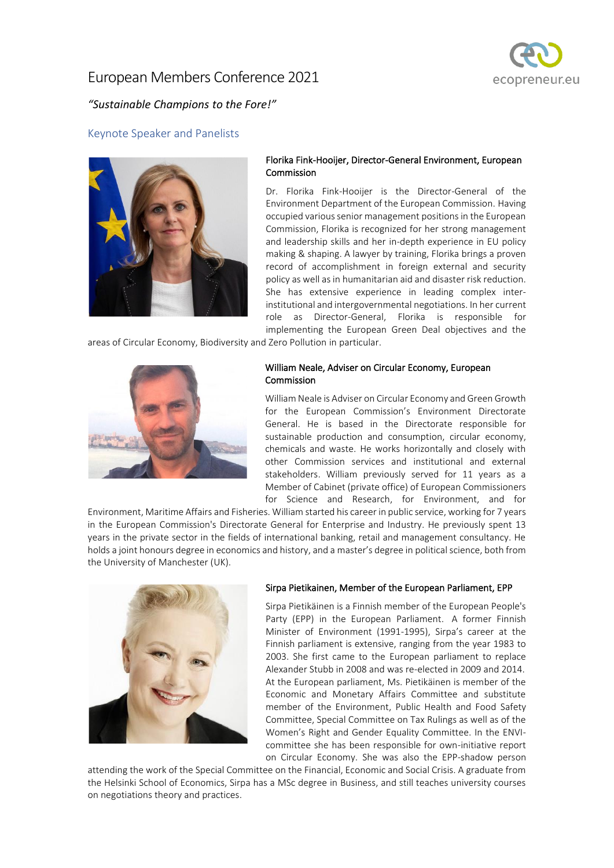

### *"Sustainable Champions to the Fore!"*

### Keynote Speaker and Panelists



### Florika Fink-Hooijer, Director-General Environment, European **Commission**

Dr. Florika Fink-Hooijer is the Director-General of the Environment Department of the European Commission. Having occupied various senior management positions in the European Commission, Florika is recognized for her strong management and leadership skills and her in-depth experience in EU policy making & shaping. A lawyer by training, Florika brings a proven record of accomplishment in foreign external and security policy as well as in humanitarian aid and disaster risk reduction. She has extensive experience in leading complex interinstitutional and intergovernmental negotiations. In her current role as Director-General, Florika is responsible for implementing the European Green Deal objectives and the

areas of Circular Economy, Biodiversity and Zero Pollution in particular.



### William Neale, Adviser on Circular Economy, European Commission

William Neale is Adviser on Circular Economy and Green Growth for the European Commission's Environment Directorate General. He is based in the Directorate responsible for sustainable production and consumption, circular economy, chemicals and waste. He works horizontally and closely with other Commission services and institutional and external stakeholders. William previously served for 11 years as a Member of Cabinet (private office) of European Commissioners for Science and Research, for Environment, and for

Environment, Maritime Affairs and Fisheries. William started his career in public service, working for 7 years in the European Commission's Directorate General for Enterprise and Industry. He previously spent 13 years in the private sector in the fields of international banking, retail and management consultancy. He holds a joint honours degree in economics and history, and a master's degree in political science, both from the University of Manchester (UK).



#### Sirpa Pietikainen, Member of the European Parliament, EPP

Sirpa Pietikäinen is a Finnish member of the European People's Party (EPP) in the European Parliament. A former Finnish Minister of Environment (1991-1995), Sirpa's career at the Finnish parliament is extensive, ranging from the year 1983 to 2003. She first came to the European parliament to replace Alexander Stubb in 2008 and was re-elected in 2009 and 2014. At the European parliament, Ms. Pietikäinen is member of the Economic and Monetary Affairs Committee and substitute member of the Environment, Public Health and Food Safety Committee, Special Committee on Tax Rulings as well as of the Women's Right and Gender Equality Committee. In the ENVIcommittee she has been responsible for own-initiative report on Circular Economy. She was also the EPP-shadow person

attending the work of the Special Committee on the Financial, Economic and Social Crisis. A graduate from the Helsinki School of Economics, Sirpa has a MSc degree in Business, and still teaches university courses on negotiations theory and practices.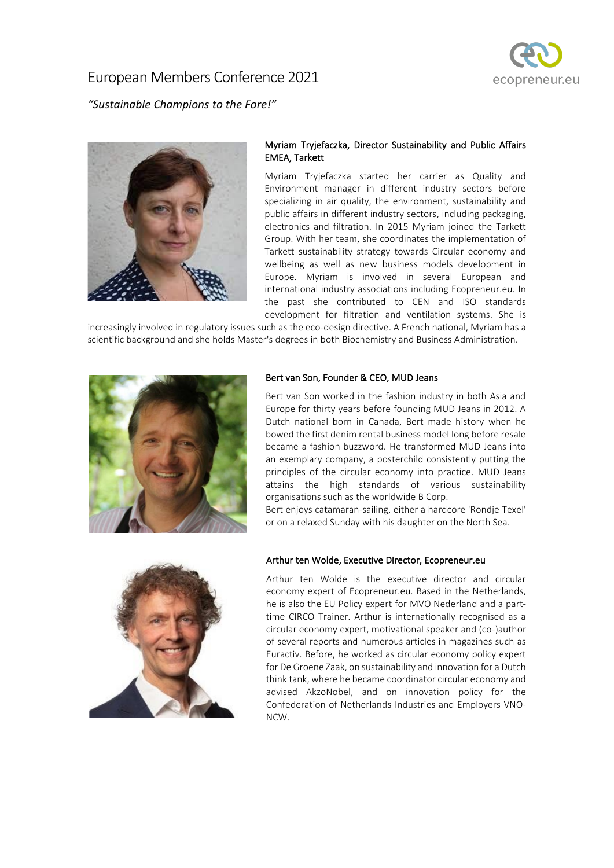

*"Sustainable Champions to the Fore!"*



### Myriam Tryjefaczka, Director Sustainability and Public Affairs EMEA, Tarkett

Myriam Tryjefaczka started her carrier as Quality and Environment manager in different industry sectors before specializing in air quality, the environment, sustainability and public affairs in different industry sectors, including packaging, electronics and filtration. In 2015 Myriam joined the Tarkett Group. With her team, she coordinates the implementation of Tarkett sustainability strategy towards Circular economy and wellbeing as well as new business models development in Europe. Myriam is involved in several European and international industry associations including Ecopreneur.eu. In the past she contributed to CEN and ISO standards development for filtration and ventilation systems. She is

increasingly involved in regulatory issues such as the eco-design directive. A French national, Myriam has a scientific background and she holds Master's degrees in both Biochemistry and Business Administration.



### Bert van Son, Founder & CEO, MUD Jeans

Bert van Son worked in the fashion industry in both Asia and Europe for thirty years before founding MUD Jeans in 2012. A Dutch national born in Canada, Bert made history when he bowed the first denim rental business model long before resale became a fashion buzzword. He transformed MUD Jeans into an exemplary company, a posterchild consistently putting the principles of the circular economy into practice. MUD Jeans attains the high standards of various sustainability organisations such as the worldwide B Corp.

Bert enjoys catamaran-sailing, either a hardcore 'Rondje Texel' or on a relaxed Sunday with his daughter on the North Sea.



### Arthur ten Wolde, Executive Director, Ecopreneur.eu

Arthur ten Wolde is the executive director and circular economy expert of Ecopreneur.eu. Based in the Netherlands, he is also the EU Policy expert for [MVO Nederland](http://www.mvonederland.nl/) and a parttime [CIRCO](https://circonl.nl/english/) Trainer. Arthur is internationally recognised as a circular economy expert, motivational speaker and (co-)author of several reports and numerous articles in magazines such as Euractiv. Before, he worked as circular economy policy expert for De Groene Zaak, on sustainability and innovation for a Dutch think tank, where he became coordinator circular economy and advised AkzoNobel, and on innovation policy for the Confederation of Netherlands Industries and Employers VNO-NCW.